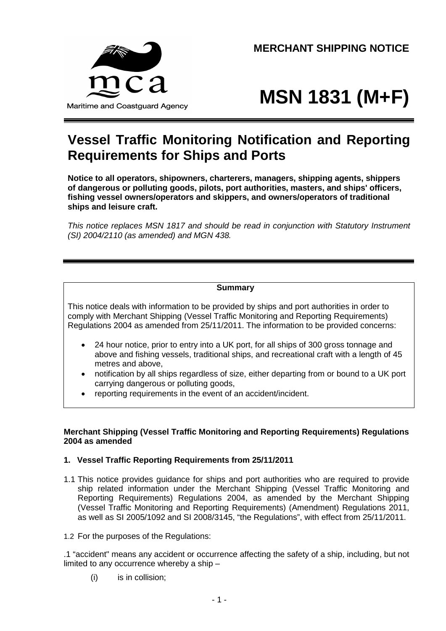Maritime and Coastguard Agency

**MERCHANT SHIPPING NOTICE**

# **MSN 1831 (M+F)**

# **Vessel Traffic Monitoring Notification and Reporting Requirements for Ships and Ports**

**Notice to all operators, shipowners, charterers, managers, shipping agents, shippers of dangerous or polluting goods, pilots, port authorities, masters, and ships' officers, fishing vessel owners/operators and skippers, and owners/operators of traditional ships and leisure craft.**

*This notice replaces MSN 1817 and should be read in conjunction with Statutory Instrument (SI) 2004/2110 (as amended) and MGN 438.*

# **Summary**

This notice deals with information to be provided by ships and port authorities in order to comply with Merchant Shipping (Vessel Traffic Monitoring and Reporting Requirements) Regulations 2004 as amended from 25/11/2011. The information to be provided concerns:

- 24 hour notice, prior to entry into a UK port, for all ships of 300 gross tonnage and above and fishing vessels, traditional ships, and recreational craft with a length of 45 metres and above,
- notification by all ships regardless of size, either departing from or bound to a UK port carrying dangerous or polluting goods,
- reporting requirements in the event of an accident/incident.

#### **Merchant Shipping (Vessel Traffic Monitoring and Reporting Requirements) Regulations 2004 as amended**

# **1. Vessel Traffic Reporting Requirements from 25/11/2011**

1.1 This notice provides guidance for ships and port authorities who are required to provide ship related information under the Merchant Shipping (Vessel Traffic Monitoring and Reporting Requirements) Regulations 2004, as amended by the Merchant Shipping (Vessel Traffic Monitoring and Reporting Requirements) (Amendment) Regulations 2011, as well as SI 2005/1092 and SI 2008/3145, "the Regulations", with effect from 25/11/2011.

1.2 For the purposes of the Regulations:

.1 "accident" means any accident or occurrence affecting the safety of a ship, including, but not limited to any occurrence whereby a ship –

(i) is in collision;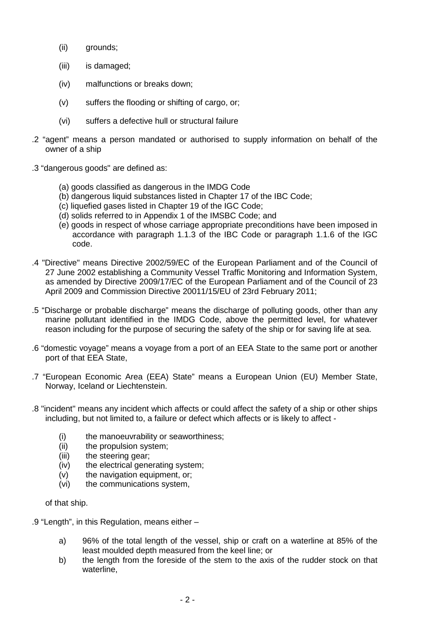- (ii) grounds;
- (iii) is damaged;
- (iv) malfunctions or breaks down;
- (v) suffers the flooding or shifting of cargo, or;
- (vi) suffers a defective hull or structural failure
- .2 "agent" means a person mandated or authorised to supply information on behalf of the owner of a ship
- .3 "dangerous goods" are defined as:
	- (a) goods classified as dangerous in the IMDG Code
	- (b) dangerous liquid substances listed in Chapter 17 of the IBC Code;
	- (c) liquefied gases listed in Chapter 19 of the IGC Code;
	- (d) solids referred to in Appendix 1 of the IMSBC Code; and
	- (e) goods in respect of whose carriage appropriate preconditions have been imposed in accordance with paragraph 1.1.3 of the IBC Code or paragraph 1.1.6 of the IGC code.
- .4 "Directive" means Directive 2002/59/EC of the European Parliament and of the Council of 27 June 2002 establishing a Community Vessel Traffic Monitoring and Information System, as amended by Directive 2009/17/EC of the European Parliament and of the Council of 23 April 2009 and Commission Directive 20011/15/EU of 23rd February 2011;
- .5 "Discharge or probable discharge" means the discharge of polluting goods, other than any marine pollutant identified in the IMDG Code, above the permitted level, for whatever reason including for the purpose of securing the safety of the ship or for saving life at sea.
- .6 "domestic voyage" means a voyage from a port of an EEA State to the same port or another port of that EEA State,
- .7 "European Economic Area (EEA) State" means a European Union (EU) Member State, Norway, Iceland or Liechtenstein.
- .8 "incident" means any incident which affects or could affect the safety of a ship or other ships including, but not limited to, a failure or defect which affects or is likely to affect -
	- (i) the manoeuvrability or seaworthiness;
	- (ii) the propulsion system;
	- (iii) the steering gear;
	- (iv) the electrical generating system;
	- (v) the navigation equipment, or;
	- (vi) the communications system,

of that ship.

.9 "Length", in this Regulation, means either –

- a) 96% of the total length of the vessel, ship or craft on a waterline at 85% of the least moulded depth measured from the keel line; or
- b) the length from the foreside of the stem to the axis of the rudder stock on that waterline,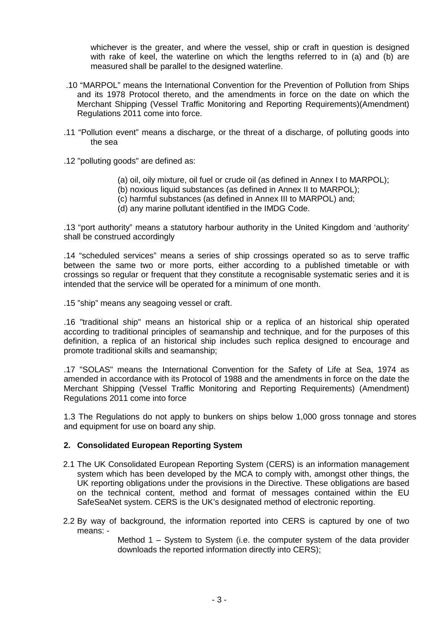whichever is the greater, and where the vessel, ship or craft in question is designed with rake of keel, the waterline on which the lengths referred to in (a) and (b) are measured shall be parallel to the designed waterline.

- .10 "MARPOL" means the International Convention for the Prevention of Pollution from Ships and its 1978 Protocol thereto, and the amendments in force on the date on which the Merchant Shipping (Vessel Traffic Monitoring and Reporting Requirements)(Amendment) Regulations 2011 come into force.
- .11 "Pollution event" means a discharge, or the threat of a discharge, of polluting goods into the sea
- .12 "polluting goods" are defined as:
	- (a) oil, oily mixture, oil fuel or crude oil (as defined in Annex I to MARPOL);
	- (b) noxious liquid substances (as defined in Annex II to MARPOL);
	- (c) harmful substances (as defined in Annex III to MARPOL) and;
	- (d) any marine pollutant identified in the IMDG Code.

.13 "port authority" means a statutory harbour authority in the United Kingdom and 'authority' shall be construed accordingly

.14 "scheduled services" means a series of ship crossings operated so as to serve traffic between the same two or more ports, either according to a published timetable or with crossings so regular or frequent that they constitute a recognisable systematic series and it is intended that the service will be operated for a minimum of one month.

.15 "ship" means any seagoing vessel or craft.

.16 "traditional ship" means an historical ship or a replica of an historical ship operated according to traditional principles of seamanship and technique, and for the purposes of this definition, a replica of an historical ship includes such replica designed to encourage and promote traditional skills and seamanship;

.17 "SOLAS" means the International Convention for the Safety of Life at Sea, 1974 as amended in accordance with its Protocol of 1988 and the amendments in force on the date the Merchant Shipping (Vessel Traffic Monitoring and Reporting Requirements) (Amendment) Regulations 2011 come into force

1.3 The Regulations do not apply to bunkers on ships below 1,000 gross tonnage and stores and equipment for use on board any ship.

#### **2. Consolidated European Reporting System**

- 2.1 The UK Consolidated European Reporting System (CERS) is an information management system which has been developed by the MCA to comply with, amongst other things, the UK reporting obligations under the provisions in the Directive. These obligations are based on the technical content, method and format of messages contained within the EU SafeSeaNet system. CERS is the UK's designated method of electronic reporting.
- 2.2 By way of background, the information reported into CERS is captured by one of two means: -

Method 1 – System to System (i.e. the computer system of the data provider downloads the reported information directly into CERS);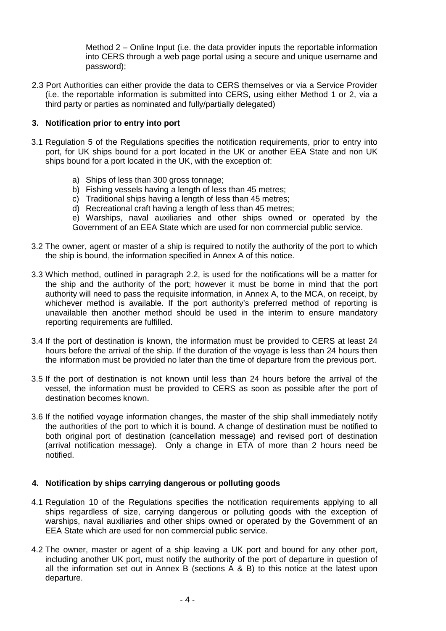Method 2 – Online Input (i.e. the data provider inputs the reportable information into CERS through a web page portal using a secure and unique username and password);

2.3 Port Authorities can either provide the data to CERS themselves or via a Service Provider (i.e. the reportable information is submitted into CERS, using either Method 1 or 2, via a third party or parties as nominated and fully/partially delegated)

# **3. Notification prior to entry into port**

- 3.1 Regulation 5 of the Regulations specifies the notification requirements, prior to entry into port, for UK ships bound for a port located in the UK or another EEA State and non UK ships bound for a port located in the UK, with the exception of:
	- a) Ships of less than 300 gross tonnage;
	- b) Fishing vessels having a length of less than 45 metres;
	- c) Traditional ships having a length of less than 45 metres;
	- d) Recreational craft having a length of less than 45 metres;

e) Warships, naval auxiliaries and other ships owned or operated by the Government of an EEA State which are used for non commercial public service.

- 3.2 The owner, agent or master of a ship is required to notify the authority of the port to which the ship is bound, the information specified in Annex A of this notice.
- 3.3 Which method, outlined in paragraph 2.2, is used for the notifications will be a matter for the ship and the authority of the port; however it must be borne in mind that the port authority will need to pass the requisite information, in Annex A, to the MCA, on receipt, by whichever method is available. If the port authority's preferred method of reporting is unavailable then another method should be used in the interim to ensure mandatory reporting requirements are fulfilled.
- 3.4 If the port of destination is known, the information must be provided to CERS at least 24 hours before the arrival of the ship. If the duration of the voyage is less than 24 hours then the information must be provided no later than the time of departure from the previous port.
- 3.5 If the port of destination is not known until less than 24 hours before the arrival of the vessel, the information must be provided to CERS as soon as possible after the port of destination becomes known.
- 3.6 If the notified voyage information changes, the master of the ship shall immediately notify the authorities of the port to which it is bound. A change of destination must be notified to both original port of destination (cancellation message) and revised port of destination (arrival notification message). Only a change in ETA of more than 2 hours need be notified.

# **4. Notification by ships carrying dangerous or polluting goods**

- 4.1 Regulation 10 of the Regulations specifies the notification requirements applying to all ships regardless of size, carrying dangerous or polluting goods with the exception of warships, naval auxiliaries and other ships owned or operated by the Government of an EEA State which are used for non commercial public service.
- 4.2 The owner, master or agent of a ship leaving a UK port and bound for any other port, including another UK port, must notify the authority of the port of departure in question of all the information set out in Annex B (sections A & B) to this notice at the latest upon departure.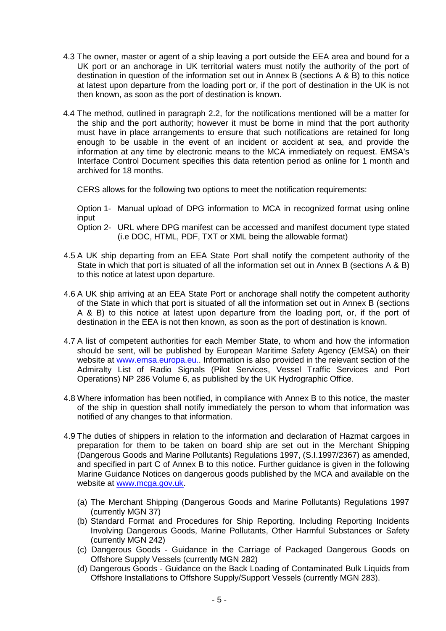- 4.3 The owner, master or agent of a ship leaving a port outside the EEA area and bound for a UK port or an anchorage in UK territorial waters must notify the authority of the port of destination in question of the information set out in Annex B (sections A & B) to this notice at latest upon departure from the loading port or, if the port of destination in the UK is not then known, as soon as the port of destination is known.
- 4.4 The method, outlined in paragraph 2.2, for the notifications mentioned will be a matter for the ship and the port authority; however it must be borne in mind that the port authority must have in place arrangements to ensure that such notifications are retained for long enough to be usable in the event of an incident or accident at sea, and provide the information at any time by electronic means to the MCA immediately on request. EMSA's Interface Control Document specifies this data retention period as online for 1 month and archived for 18 months.

CERS allows for the following two options to meet the notification requirements:

Option 1- Manual upload of DPG information to MCA in recognized format using online input

Option 2- URL where DPG manifest can be accessed and manifest document type stated (i.e DOC, HTML, PDF, TXT or XML being the allowable format)

- 4.5 A UK ship departing from an EEA State Port shall notify the competent authority of the State in which that port is situated of all the information set out in Annex B (sections A & B) to this notice at latest upon departure.
- 4.6 A UK ship arriving at an EEA State Port or anchorage shall notify the competent authority of the State in which that port is situated of all the information set out in Annex B (sections A & B) to this notice at latest upon departure from the loading port, or, if the port of destination in the EEA is not then known, as soon as the port of destination is known.
- 4.7 A list of competent authorities for each Member State, to whom and how the information should be sent, will be published by European Maritime Safety Agency (EMSA) on their website at [www.emsa.europa.eu.](http://www.emsa.eu.org/). Information is also provided in the relevant section of the Admiralty List of Radio Signals (Pilot Services, Vessel Traffic Services and Port Operations) NP 286 Volume 6, as published by the UK Hydrographic Office.
- 4.8 Where information has been notified, in compliance with Annex B to this notice, the master of the ship in question shall notify immediately the person to whom that information was notified of any changes to that information.
- 4.9 The duties of shippers in relation to the information and declaration of Hazmat cargoes in preparation for them to be taken on board ship are set out in the Merchant Shipping (Dangerous Goods and Marine Pollutants) Regulations 1997, (S.I.1997/2367) as amended, and specified in part C of Annex B to this notice. Further guidance is given in the following Marine Guidance Notices on dangerous goods published by the MCA and available on the website at [www.mcga.gov.uk](http://www.mca.gov.uk/).
	- (a) The Merchant Shipping (Dangerous Goods and Marine Pollutants) Regulations 1997 (currently MGN 37)
	- (b) Standard Format and Procedures for Ship Reporting, Including Reporting Incidents Involving Dangerous Goods, Marine Pollutants, Other Harmful Substances or Safety (currently MGN 242)
	- (c) Dangerous Goods Guidance in the Carriage of Packaged Dangerous Goods on Offshore Supply Vessels (currently MGN 282)
	- (d) Dangerous Goods Guidance on the Back Loading of Contaminated Bulk Liquids from Offshore Installations to Offshore Supply/Support Vessels (currently MGN 283).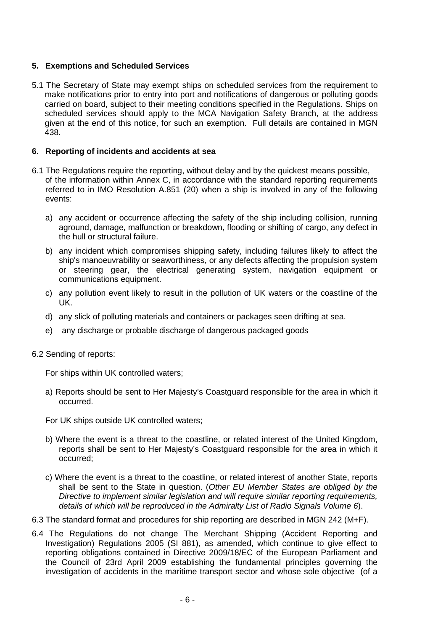# **5. Exemptions and Scheduled Services**

5.1 The Secretary of State may exempt ships on scheduled services from the requirement to make notifications prior to entry into port and notifications of dangerous or polluting goods carried on board, subject to their meeting conditions specified in the Regulations. Ships on scheduled services should apply to the MCA Navigation Safety Branch, at the address given at the end of this notice, for such an exemption. Full details are contained in MGN 438.

#### **6. Reporting of incidents and accidents at sea**

- 6.1 The Regulations require the reporting, without delay and by the quickest means possible, of the information within Annex C, in accordance with the standard reporting requirements referred to in IMO Resolution A.851 (20) when a ship is involved in any of the following events:
	- a) any accident or occurrence affecting the safety of the ship including collision, running aground, damage, malfunction or breakdown, flooding or shifting of cargo, any defect in the hull or structural failure.
	- b) any incident which compromises shipping safety, including failures likely to affect the ship's manoeuvrability or seaworthiness, or any defects affecting the propulsion system or steering gear, the electrical generating system, navigation equipment or communications equipment.
	- c) any pollution event likely to result in the pollution of UK waters or the coastline of the UK.
	- d) any slick of polluting materials and containers or packages seen drifting at sea.
	- e) any discharge or probable discharge of dangerous packaged goods
- 6.2 Sending of reports:

For ships within UK controlled waters;

- a) Reports should be sent to Her Majesty's Coastguard responsible for the area in which it occurred.
- For UK ships outside UK controlled waters;
- b) Where the event is a threat to the coastline, or related interest of the United Kingdom, reports shall be sent to Her Majesty's Coastguard responsible for the area in which it occurred;
- c) Where the event is a threat to the coastline, or related interest of another State, reports shall be sent to the State in question. (*Other EU Member States are obliged by the Directive to implement similar legislation and will require similar reporting requirements, details of which will be reproduced in the Admiralty List of Radio Signals Volume 6*).
- 6.3 The standard format and procedures for ship reporting are described in MGN 242 (M+F).
- 6.4 The Regulations do not change The Merchant Shipping (Accident Reporting and Investigation) Regulations 2005 (SI 881), as amended, which continue to give effect to reporting obligations contained in Directive 2009/18/EC of the European Parliament and the Council of 23rd April 2009 establishing the fundamental principles governing the investigation of accidents in the maritime transport sector and whose sole objective (of a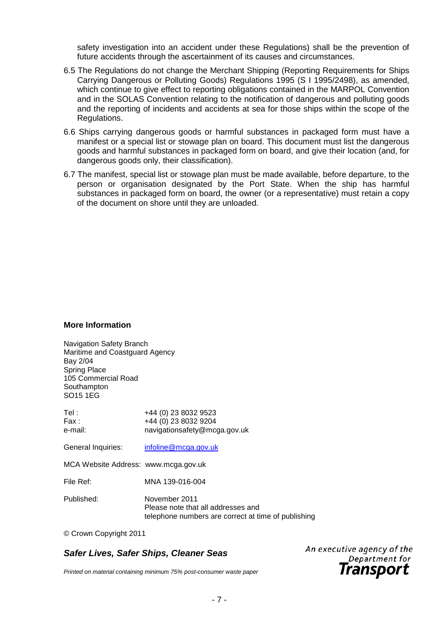safety investigation into an accident under these Regulations) shall be the prevention of future accidents through the ascertainment of its causes and circumstances.

- 6.5 The Regulations do not change the Merchant Shipping (Reporting Requirements for Ships Carrying Dangerous or Polluting Goods) Regulations 1995 (S I 1995/2498), as amended, which continue to give effect to reporting obligations contained in the MARPOL Convention and in the SOLAS Convention relating to the notification of dangerous and polluting goods and the reporting of incidents and accidents at sea for those ships within the scope of the Regulations.
- 6.6 Ships carrying dangerous goods or harmful substances in packaged form must have a manifest or a special list or stowage plan on board. This document must list the dangerous goods and harmful substances in packaged form on board, and give their location (and, for dangerous goods only, their classification).
- 6.7 The manifest, special list or stowage plan must be made available, before departure, to the person or organisation designated by the Port State. When the ship has harmful substances in packaged form on board, the owner (or a representative) must retain a copy of the document on shore until they are unloaded.

#### **More Information**

Navigation Safety Branch Maritime and Coastguard Agency Bay 2/04 Spring Place 105 Commercial Road **Southampton** SO15 1EG

| Tel :<br>Fax :<br>e-mail:            | +44 (0) 23 8032 9523<br>+44 (0) 23 8032 9204<br>navigationsafety@mcga.gov.uk                               |
|--------------------------------------|------------------------------------------------------------------------------------------------------------|
| General Inquiries:                   | infoline@mcga.gov.uk                                                                                       |
| MCA Website Address: www.mcga.gov.uk |                                                                                                            |
| File Ref:                            | MNA 139-016-004                                                                                            |
| Published:                           | November 2011<br>Please note that all addresses and<br>telephone numbers are correct at time of publishing |

© Crown Copyright 2011

# *Safer Lives, Safer Ships, Cleaner Seas*

An executive agency of the Department for Transport

*Printed on material containing minimum 75% post-consumer waste paper*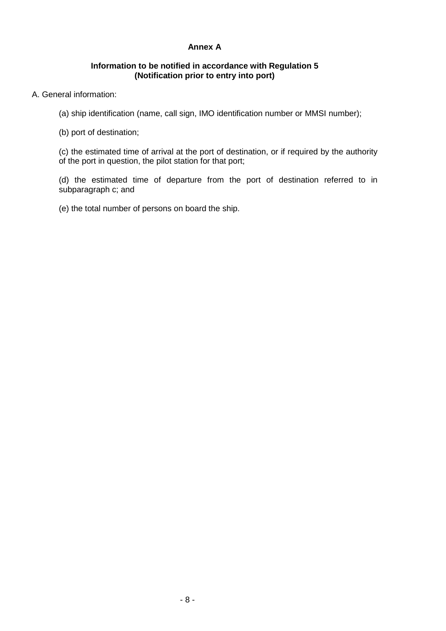#### **Annex A**

# **Information to be notified in accordance with Regulation 5 (Notification prior to entry into port)**

# A. General information:

(a) ship identification (name, call sign, IMO identification number or MMSI number);

(b) port of destination;

(c) the estimated time of arrival at the port of destination, or if required by the authority of the port in question, the pilot station for that port;

(d) the estimated time of departure from the port of destination referred to in subparagraph c; and

(e) the total number of persons on board the ship.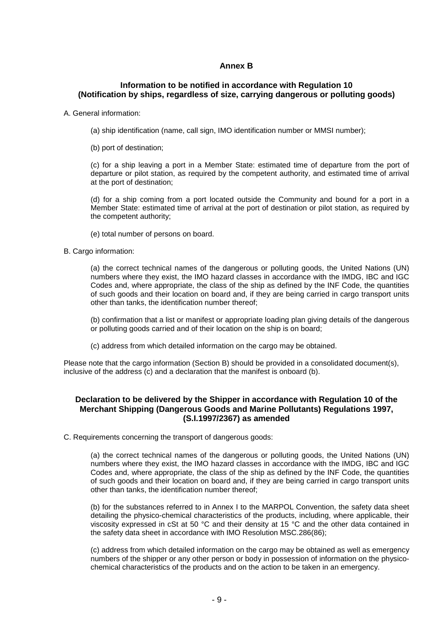#### **Annex B**

#### **Information to be notified in accordance with Regulation 10 (Notification by ships, regardless of size, carrying dangerous or polluting goods)**

A. General information:

- (a) ship identification (name, call sign, IMO identification number or MMSI number);
- (b) port of destination;

(c) for a ship leaving a port in a Member State: estimated time of departure from the port of departure or pilot station, as required by the competent authority, and estimated time of arrival at the port of destination;

(d) for a ship coming from a port located outside the Community and bound for a port in a Member State: estimated time of arrival at the port of destination or pilot station, as required by the competent authority;

(e) total number of persons on board.

B. Cargo information:

(a) the correct technical names of the dangerous or polluting goods, the United Nations (UN) numbers where they exist, the IMO hazard classes in accordance with the IMDG, IBC and IGC Codes and, where appropriate, the class of the ship as defined by the INF Code, the quantities of such goods and their location on board and, if they are being carried in cargo transport units other than tanks, the identification number thereof;

(b) confirmation that a list or manifest or appropriate loading plan giving details of the dangerous or polluting goods carried and of their location on the ship is on board;

(c) address from which detailed information on the cargo may be obtained.

Please note that the cargo information (Section B) should be provided in a consolidated document(s), inclusive of the address (c) and a declaration that the manifest is onboard (b).

#### **Declaration to be delivered by the Shipper in accordance with Regulation 10 of the Merchant Shipping (Dangerous Goods and Marine Pollutants) Regulations 1997, (S.I.1997/2367) as amended**

C. Requirements concerning the transport of dangerous goods:

(a) the correct technical names of the dangerous or polluting goods, the United Nations (UN) numbers where they exist, the IMO hazard classes in accordance with the IMDG, IBC and IGC Codes and, where appropriate, the class of the ship as defined by the INF Code, the quantities of such goods and their location on board and, if they are being carried in cargo transport units other than tanks, the identification number thereof;

(b) for the substances referred to in Annex I to the MARPOL Convention, the safety data sheet detailing the physico-chemical characteristics of the products, including, where applicable, their viscosity expressed in cSt at 50 °C and their density at 15 °C and the other data contained in the safety data sheet in accordance with IMO Resolution MSC.286(86);

(c) address from which detailed information on the cargo may be obtained as well as emergency numbers of the shipper or any other person or body in possession of information on the physicochemical characteristics of the products and on the action to be taken in an emergency.